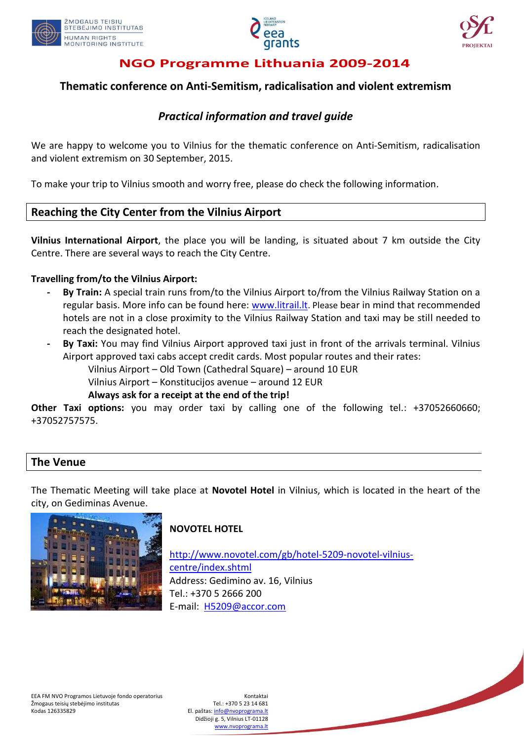





## **Thematic conference on Anti-Semitism, radicalisation and violent extremism**

## *Practical information and travel guide*

We are happy to welcome you to Vilnius for the thematic conference on Anti-Semitism, radicalisation and violent extremism on 30 September, 2015.

To make your trip to Vilnius smooth and worry free, please do check the following information.

### **Reaching the City Center from the Vilnius Airport**

**Vilnius International Airport**, the place you will be landing, is situated about 7 km outside the City Centre. There are several ways to reach the City Centre.

#### **Travelling from/to the Vilnius Airport:**

- **- By Train:** A special train runs from/to the Vilnius Airport to/from the Vilnius Railway Station on a regular basis. More info can be found here: [www.litrail.lt](http://www.litrail.lt/). Please bear in mind that recommended hotels are not in a close proximity to the Vilnius Railway Station and taxi may be still needed to reach the designated hotel.
- **- By Taxi:** You may find Vilnius Airport approved taxi just in front of the arrivals terminal. Vilnius Airport approved taxi cabs accept credit cards. Most popular routes and their rates:
	- Vilnius Airport Old Town (Cathedral Square) around 10 EUR
	- Vilnius Airport Konstitucijos avenue around 12 EUR

#### **Always ask for a receipt at the end of the trip!**

**Other Taxi options:** you may order taxi by calling one of the following tel.: +37052660660; +37052757575.

### **The Venue**

The Thematic Meeting will take place at **Novotel Hotel** in Vilnius, which is located in the heart of the city, on Gediminas Avenue.



### **NOVOTEL HOTEL**

[http://www.novotel.com/gb/hotel-5209-novotel-vilnius](http://www.novotel.com/gb/hotel-5209-novotel-vilnius-centre/index.shtml)[centre/index.shtml](http://www.novotel.com/gb/hotel-5209-novotel-vilnius-centre/index.shtml) Address: Gedimino av. 16, Vilnius Tel.: +370 5 2666 200 E-mail: [H5209@accor.com](mailto:H5209@accor.com)

El. paštas: [info@nvoprograma.lt](mailto:info@nvoprograma.lt) Didžioji g. 5, Vilnius LT-01128 [www.nvoprograma.lt](http://www.nvoprograma.lt/)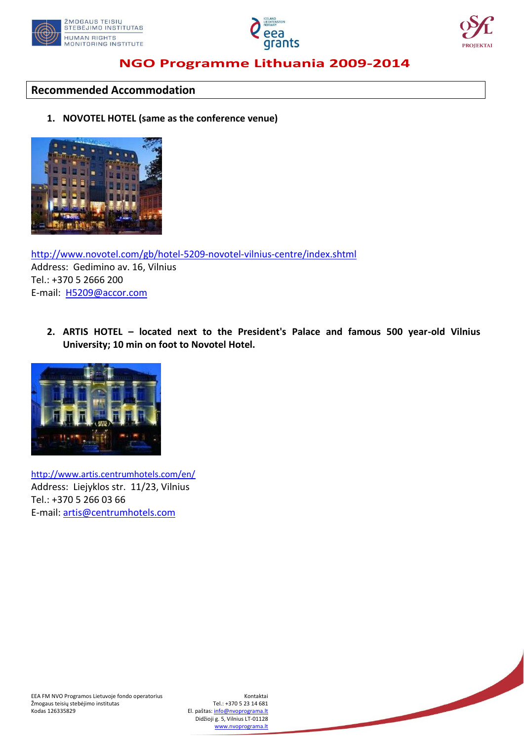





#### **Recommended Accommodation**

#### **1. NOVOTEL HOTEL (same as the conference venue)**



<http://www.novotel.com/gb/hotel-5209-novotel-vilnius-centre/index.shtml> Address: Gedimino av. 16, Vilnius Tel.: +370 5 2666 200 E-mail: [H5209@accor.com](mailto:H5209@accor.com)

**2. ARTIS HOTEL – located next to the President's Palace and famous 500 year-old Vilnius University; 10 min on foot to Novotel Hotel.**



<http://www.artis.centrumhotels.com/en/> Address: Liejyklos str. 11/23, Vilnius Tel.: +370 5 266 03 66 E-mail[: artis@centrumhotels.com](mailto:artis@centrumhotels.com)

El. paštas: [info@nvoprograma.lt](mailto:info@nvoprograma.lt) Didžioji g. 5, Vilnius LT-01128 [www.nvoprograma.lt](http://www.nvoprograma.lt/)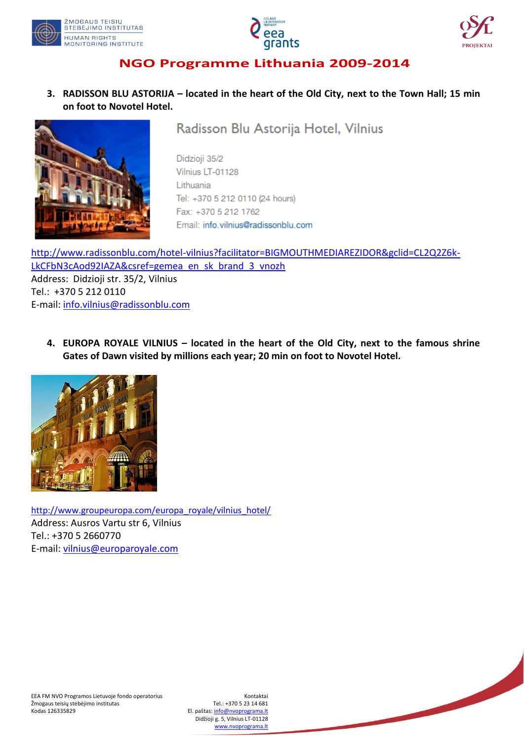





**3. RADISSON BLU ASTORIJA – located in the heart of the Old City, next to the Town Hall; 15 min on foot to Novotel Hotel.**



Radisson Blu Astorija Hotel, Vilnius

Didzioji 35/2 Vilnius LT-01128 Lithuania Tel: +370 5 212 0110 (24 hours) Fax: +370 5 212 1762 Email: info.vilnius@radissonblu.com

[http://www.radissonblu.com/hotel-vilnius?facilitator=BIGMOUTHMEDIAREZIDOR&gclid=CL2Q2Z6k-](http://www.radissonblu.com/hotel-vilnius?facilitator=BIGMOUTHMEDIAREZIDOR&gclid=CL2Q2Z6k-LkCFbN3cAod92IAZA&csref=gemea_en_sk_brand_3_vnozh)[LkCFbN3cAod92IAZA&csref=gemea\\_en\\_sk\\_brand\\_3\\_vnozh](http://www.radissonblu.com/hotel-vilnius?facilitator=BIGMOUTHMEDIAREZIDOR&gclid=CL2Q2Z6k-LkCFbN3cAod92IAZA&csref=gemea_en_sk_brand_3_vnozh) Address: Didzioji str. 35/2, Vilnius Tel.: +370 5 212 0110 E-mail[: info.vilnius@radissonblu.com](mailto:info.vilnius@radissonblu.com)

**4. EUROPA ROYALE VILNIUS – located in the heart of the Old City, next to the famous shrine Gates of Dawn visited by millions each year; 20 min on foot to Novotel Hotel.**



[http://www.groupeuropa.com/europa\\_royale/vilnius\\_hotel/](http://www.groupeuropa.com/europa_royale/vilnius_hotel/) Address: Ausros Vartu str 6, Vilnius Tel.: +370 5 2660770 E-mail[: vilnius@europaroyale.com](mailto:vilnius@europaroyale.com)

El. paštas: [info@nvoprograma.lt](mailto:info@nvoprograma.lt) Didžioji g. 5, Vilnius LT-01128 [www.nvoprograma.lt](http://www.nvoprograma.lt/)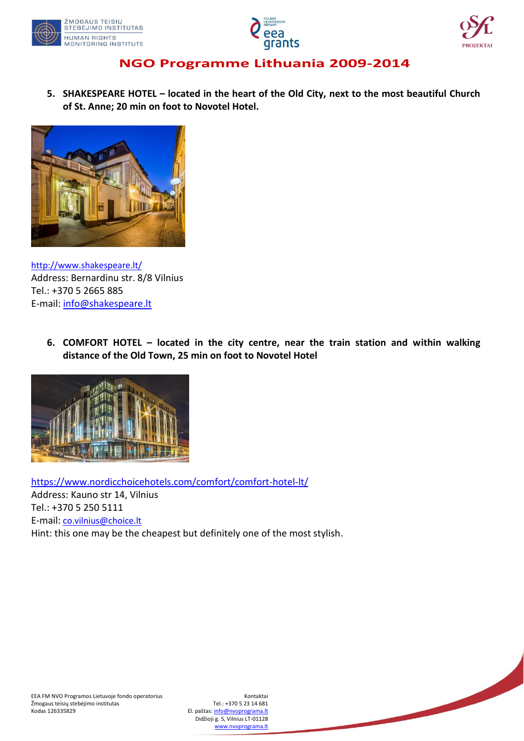





**5. SHAKESPEARE HOTEL – located in the heart of the Old City, next to the most beautiful Church of St. Anne; 20 min on foot to Novotel Hotel.**



<http://www.shakespeare.lt/> Address: Bernardinu str. 8/8 Vilnius Tel.: +370 5 2665 885 E-mail[: info@shakespeare.lt](mailto:info@shakespeare.lt)

> **6. COMFORT HOTEL – located in the city centre, near the train station and within walking distance of the Old Town, 25 min on foot to Novotel Hotel**



<https://www.nordicchoicehotels.com/comfort/comfort-hotel-lt/> Address: Kauno str 14, Vilnius Tel.: +370 5 250 5111 E-mail: [co.vilnius@choice.lt](mailto:co.vilnius@choice.lt) Hint: this one may be the cheapest but definitely one of the most stylish.